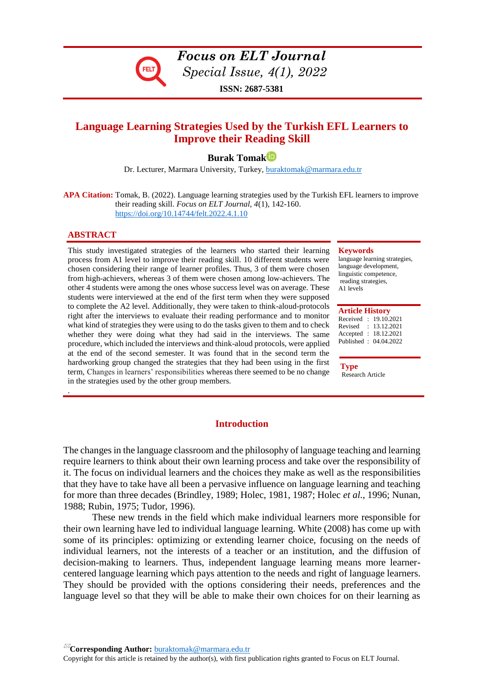

*Focus on ELT Journal Special Issue, 4(1), 2022* **ISSN: 2687-5381**

# **Language Learning Strategies Used by the Turkish EFL Learners to Improve their Reading Skill**

**Burak Tomak**

Dr. Lecturer, Marmara University, Turkey, buraktomak@marmara.edu.tr

**APA Citation:** Tomak, B. (2022). Language learning strategies used by the Turkish EFL learners to improve their reading skill. *Focus on ELT Journal, 4*(1), 142-160. <https://doi.org/10.14744/felt.2022.4.1.10>

## **ABSTRACT**

.

This study investigated strategies of the learners who started their learning process from A1 level to improve their reading skill. 10 different students were chosen considering their range of learner profiles. Thus, 3 of them were chosen from high-achievers, whereas 3 of them were chosen among low-achievers. The other 4 students were among the ones whose success level was on average. These students were interviewed at the end of the first term when they were supposed to complete the A2 level. Additionally, they were taken to think-aloud-protocols right after the interviews to evaluate their reading performance and to monitor what kind of strategies they were using to do the tasks given to them and to check whether they were doing what they had said in the interviews. The same procedure, which included the interviews and think-aloud protocols, were applied at the end of the second semester. It was found that in the second term the hardworking group changed the strategies that they had been using in the first term, Changes in learners' responsibilities whereas there seemed to be no change in the strategies used by the other group members.

#### **Keywords**

language learning strategies, language development, linguistic competence, reading strategies, A1 levels

#### **Article History**

Received : 19.10.2021 Revised : 13.12.2021 Accepted : 18.12.2021 Published : 04.04.2022

**Type** Research Article

# **Introduction**

The changes in the language classroom and the philosophy of language teaching and learning require learners to think about their own learning process and take over the responsibility of it. The focus on individual learners and the choices they make as well as the responsibilities that they have to take have all been a pervasive influence on language learning and teaching for more than three decades (Brindley, 1989; Holec, 1981, 1987; Holec *et al.*, 1996; Nunan, 1988; Rubin, 1975; Tudor, 1996).

These new trends in the field which make individual learners more responsible for their own learning have led to individual language learning. White (2008) has come up with some of its principles: optimizing or extending learner choice, focusing on the needs of individual learners, not the interests of a teacher or an institution, and the diffusion of decision-making to learners. Thus, independent language learning means more learnercentered language learning which pays attention to the needs and right of language learners. They should be provided with the options considering their needs, preferences and the language level so that they will be able to make their own choices for on their learning as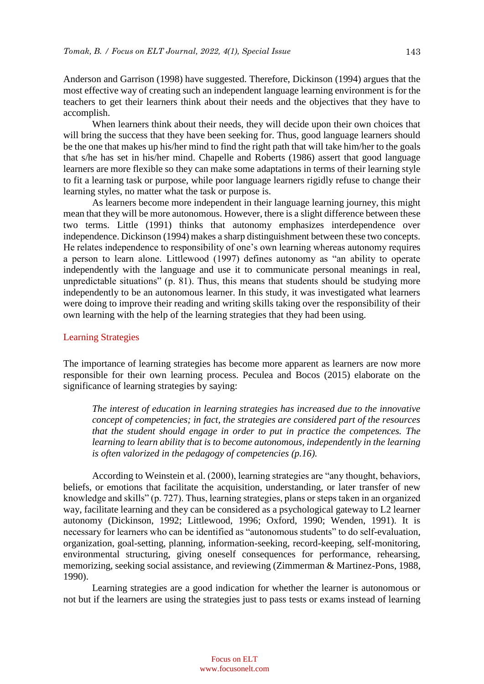Anderson and Garrison (1998) have suggested. Therefore, Dickinson (1994) argues that the most effective way of creating such an independent language learning environment is for the teachers to get their learners think about their needs and the objectives that they have to accomplish.

When learners think about their needs, they will decide upon their own choices that will bring the success that they have been seeking for. Thus, good language learners should be the one that makes up his/her mind to find the right path that will take him/her to the goals that s/he has set in his/her mind. Chapelle and Roberts (1986) assert that good language learners are more flexible so they can make some adaptations in terms of their learning style to fit a learning task or purpose, while poor language learners rigidly refuse to change their learning styles, no matter what the task or purpose is.

As learners become more independent in their language learning journey, this might mean that they will be more autonomous. However, there is a slight difference between these two terms. Little (1991) thinks that autonomy emphasizes interdependence over independence. Dickinson (1994) makes a sharp distinguishment between these two concepts. He relates independence to responsibility of one's own learning whereas autonomy requires a person to learn alone. Littlewood (1997) defines autonomy as "an ability to operate independently with the language and use it to communicate personal meanings in real, unpredictable situations" (p. 81). Thus, this means that students should be studying more independently to be an autonomous learner. In this study, it was investigated what learners were doing to improve their reading and writing skills taking over the responsibility of their own learning with the help of the learning strategies that they had been using.

## Learning Strategies

The importance of learning strategies has become more apparent as learners are now more responsible for their own learning process. Peculea and Bocos (2015) elaborate on the significance of learning strategies by saying:

*The interest of education in learning strategies has increased due to the innovative concept of competencies; in fact, the strategies are considered part of the resources that the student should engage in order to put in practice the competences. The learning to learn ability that is to become autonomous, independently in the learning is often valorized in the pedagogy of competencies (p.16).*

According to Weinstein et al. (2000), learning strategies are "any thought, behaviors, beliefs, or emotions that facilitate the acquisition, understanding, or later transfer of new knowledge and skills" (p. 727). Thus, learning strategies, plans or steps taken in an organized way, facilitate learning and they can be considered as a psychological gateway to L2 learner autonomy (Dickinson, 1992; Littlewood, 1996; Oxford, 1990; Wenden, 1991). It is necessary for learners who can be identified as "autonomous students" to do self-evaluation, organization, goal-setting, planning, information-seeking, record-keeping, self-monitoring, environmental structuring, giving oneself consequences for performance, rehearsing, memorizing, seeking social assistance, and reviewing (Zimmerman & Martinez-Pons, 1988, 1990).

Learning strategies are a good indication for whether the learner is autonomous or not but if the learners are using the strategies just to pass tests or exams instead of learning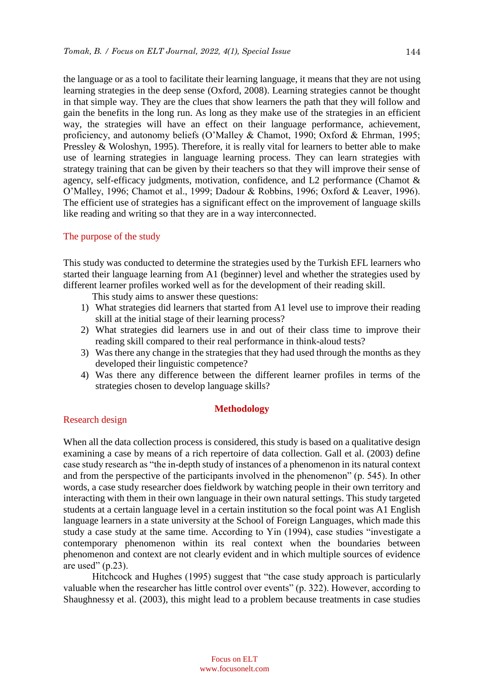the language or as a tool to facilitate their learning language, it means that they are not using learning strategies in the deep sense (Oxford, 2008). Learning strategies cannot be thought in that simple way. They are the clues that show learners the path that they will follow and gain the benefits in the long run. As long as they make use of the strategies in an efficient way, the strategies will have an effect on their language performance, achievement, proficiency, and autonomy beliefs (O'Malley & Chamot, 1990; Oxford & Ehrman, 1995; Pressley & Woloshyn, 1995). Therefore, it is really vital for learners to better able to make use of learning strategies in language learning process. They can learn strategies with strategy training that can be given by their teachers so that they will improve their sense of agency, self-efficacy judgments, motivation, confidence, and L2 performance (Chamot & O'Malley, 1996; Chamot et al., 1999; Dadour & Robbins, 1996; Oxford & Leaver, 1996). The efficient use of strategies has a significant effect on the improvement of language skills like reading and writing so that they are in a way interconnected.

# The purpose of the study

This study was conducted to determine the strategies used by the Turkish EFL learners who started their language learning from A1 (beginner) level and whether the strategies used by different learner profiles worked well as for the development of their reading skill.

This study aims to answer these questions:

- 1) What strategies did learners that started from A1 level use to improve their reading skill at the initial stage of their learning process?
- 2) What strategies did learners use in and out of their class time to improve their reading skill compared to their real performance in think-aloud tests?
- 3) Was there any change in the strategies that they had used through the months as they developed their linguistic competence?
- 4) Was there any difference between the different learner profiles in terms of the strategies chosen to develop language skills?

# **Methodology**

# Research design

When all the data collection process is considered, this study is based on a qualitative design examining a case by means of a rich repertoire of data collection. Gall et al. (2003) define case study research as "the in-depth study of instances of a phenomenon in its natural context and from the perspective of the participants involved in the phenomenon" (p. 545). In other words, a case study researcher does fieldwork by watching people in their own territory and interacting with them in their own language in their own natural settings. This study targeted students at a certain language level in a certain institution so the focal point was A1 English language learners in a state university at the School of Foreign Languages, which made this study a case study at the same time. According to Yin (1994), case studies "investigate a contemporary phenomenon within its real context when the boundaries between phenomenon and context are not clearly evident and in which multiple sources of evidence are used"  $(p.23)$ .

Hitchcock and Hughes (1995) suggest that "the case study approach is particularly valuable when the researcher has little control over events" (p. 322). However, according to Shaughnessy et al. (2003), this might lead to a problem because treatments in case studies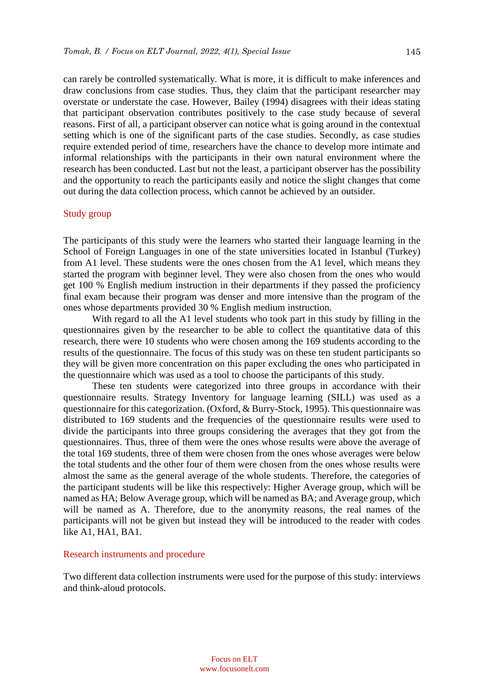can rarely be controlled systematically. What is more, it is difficult to make inferences and draw conclusions from case studies. Thus, they claim that the participant researcher may overstate or understate the case. However, Bailey (1994) disagrees with their ideas stating that participant observation contributes positively to the case study because of several reasons. First of all, a participant observer can notice what is going around in the contextual setting which is one of the significant parts of the case studies. Secondly, as case studies require extended period of time, researchers have the chance to develop more intimate and informal relationships with the participants in their own natural environment where the research has been conducted. Last but not the least, a participant observer has the possibility and the opportunity to reach the participants easily and notice the slight changes that come out during the data collection process, which cannot be achieved by an outsider.

#### Study group

The participants of this study were the learners who started their language learning in the School of Foreign Languages in one of the state universities located in Istanbul (Turkey) from A1 level. These students were the ones chosen from the A1 level, which means they started the program with beginner level. They were also chosen from the ones who would get 100 % English medium instruction in their departments if they passed the proficiency final exam because their program was denser and more intensive than the program of the ones whose departments provided 30 % English medium instruction.

With regard to all the A1 level students who took part in this study by filling in the questionnaires given by the researcher to be able to collect the quantitative data of this research, there were 10 students who were chosen among the 169 students according to the results of the questionnaire. The focus of this study was on these ten student participants so they will be given more concentration on this paper excluding the ones who participated in the questionnaire which was used as a tool to choose the participants of this study.

These ten students were categorized into three groups in accordance with their questionnaire results. Strategy Inventory for language learning (SILL) was used as a questionnaire for this categorization. (Oxford, & Burry-Stock, 1995). This questionnaire was distributed to 169 students and the frequencies of the questionnaire results were used to divide the participants into three groups considering the averages that they got from the questionnaires. Thus, three of them were the ones whose results were above the average of the total 169 students, three of them were chosen from the ones whose averages were below the total students and the other four of them were chosen from the ones whose results were almost the same as the general average of the whole students. Therefore, the categories of the participant students will be like this respectively: Higher Average group, which will be named as HA; Below Average group, which will be named as BA; and Average group, which will be named as A. Therefore, due to the anonymity reasons, the real names of the participants will not be given but instead they will be introduced to the reader with codes like A1, HA1, BA1.

#### Research instruments and procedure

Two different data collection instruments were used for the purpose of this study: interviews and think-aloud protocols.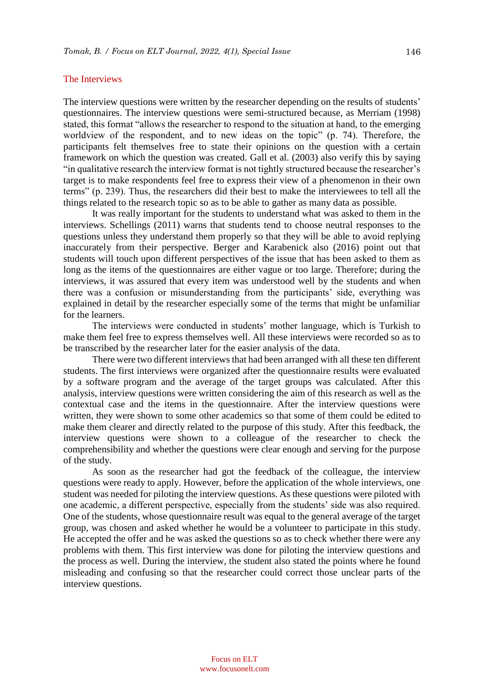## The Interviews

The interview questions were written by the researcher depending on the results of students' questionnaires. The interview questions were semi-structured because, as Merriam (1998) stated, this format "allows the researcher to respond to the situation at hand, to the emerging worldview of the respondent, and to new ideas on the topic" (p. 74). Therefore, the participants felt themselves free to state their opinions on the question with a certain framework on which the question was created. Gall et al. (2003) also verify this by saying "in qualitative research the interview format is not tightly structured because the researcher's target is to make respondents feel free to express their view of a phenomenon in their own terms" (p. 239). Thus, the researchers did their best to make the interviewees to tell all the things related to the research topic so as to be able to gather as many data as possible.

It was really important for the students to understand what was asked to them in the interviews. Schellings (2011) warns that students tend to choose neutral responses to the questions unless they understand them properly so that they will be able to avoid replying inaccurately from their perspective. Berger and Karabenick also (2016) point out that students will touch upon different perspectives of the issue that has been asked to them as long as the items of the questionnaires are either vague or too large. Therefore; during the interviews, it was assured that every item was understood well by the students and when there was a confusion or misunderstanding from the participants' side, everything was explained in detail by the researcher especially some of the terms that might be unfamiliar for the learners.

The interviews were conducted in students' mother language, which is Turkish to make them feel free to express themselves well. All these interviews were recorded so as to be transcribed by the researcher later for the easier analysis of the data.

There were two different interviews that had been arranged with all these ten different students. The first interviews were organized after the questionnaire results were evaluated by a software program and the average of the target groups was calculated. After this analysis, interview questions were written considering the aim of this research as well as the contextual case and the items in the questionnaire. After the interview questions were written, they were shown to some other academics so that some of them could be edited to make them clearer and directly related to the purpose of this study. After this feedback, the interview questions were shown to a colleague of the researcher to check the comprehensibility and whether the questions were clear enough and serving for the purpose of the study.

As soon as the researcher had got the feedback of the colleague, the interview questions were ready to apply. However, before the application of the whole interviews, one student was needed for piloting the interview questions. As these questions were piloted with one academic, a different perspective, especially from the students' side was also required. One of the students, whose questionnaire result was equal to the general average of the target group, was chosen and asked whether he would be a volunteer to participate in this study. He accepted the offer and he was asked the questions so as to check whether there were any problems with them. This first interview was done for piloting the interview questions and the process as well. During the interview, the student also stated the points where he found misleading and confusing so that the researcher could correct those unclear parts of the interview questions.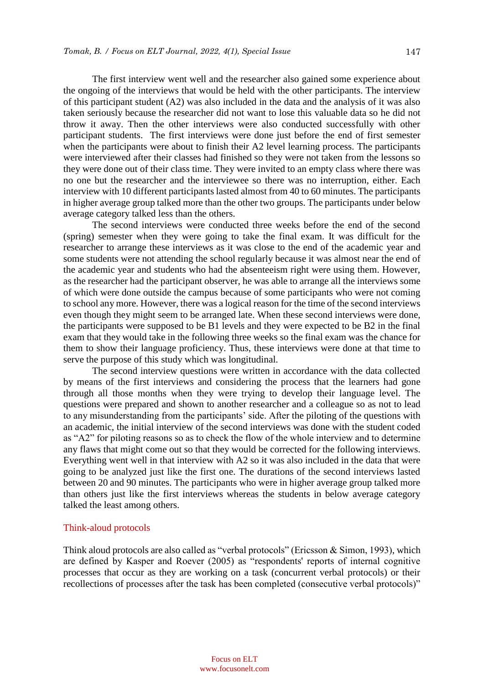147

The first interview went well and the researcher also gained some experience about the ongoing of the interviews that would be held with the other participants. The interview of this participant student (A2) was also included in the data and the analysis of it was also taken seriously because the researcher did not want to lose this valuable data so he did not throw it away. Then the other interviews were also conducted successfully with other participant students. The first interviews were done just before the end of first semester when the participants were about to finish their A2 level learning process. The participants were interviewed after their classes had finished so they were not taken from the lessons so they were done out of their class time. They were invited to an empty class where there was no one but the researcher and the interviewee so there was no interruption, either. Each interview with 10 different participants lasted almost from 40 to 60 minutes. The participants in higher average group talked more than the other two groups. The participants under below average category talked less than the others.

The second interviews were conducted three weeks before the end of the second (spring) semester when they were going to take the final exam. It was difficult for the researcher to arrange these interviews as it was close to the end of the academic year and some students were not attending the school regularly because it was almost near the end of the academic year and students who had the absenteeism right were using them. However, as the researcher had the participant observer, he was able to arrange all the interviews some of which were done outside the campus because of some participants who were not coming to school any more. However, there was a logical reason for the time of the second interviews even though they might seem to be arranged late. When these second interviews were done, the participants were supposed to be B1 levels and they were expected to be B2 in the final exam that they would take in the following three weeks so the final exam was the chance for them to show their language proficiency. Thus, these interviews were done at that time to serve the purpose of this study which was longitudinal.

The second interview questions were written in accordance with the data collected by means of the first interviews and considering the process that the learners had gone through all those months when they were trying to develop their language level. The questions were prepared and shown to another researcher and a colleague so as not to lead to any misunderstanding from the participants' side. After the piloting of the questions with an academic, the initial interview of the second interviews was done with the student coded as "A2" for piloting reasons so as to check the flow of the whole interview and to determine any flaws that might come out so that they would be corrected for the following interviews. Everything went well in that interview with A2 so it was also included in the data that were going to be analyzed just like the first one. The durations of the second interviews lasted between 20 and 90 minutes. The participants who were in higher average group talked more than others just like the first interviews whereas the students in below average category talked the least among others.

## Think-aloud protocols

Think aloud protocols are also called as "verbal protocols" (Ericsson & Simon, 1993), which are defined by Kasper and Roever (2005) as "respondents' reports of internal cognitive processes that occur as they are working on a task (concurrent verbal protocols) or their recollections of processes after the task has been completed (consecutive verbal protocols)"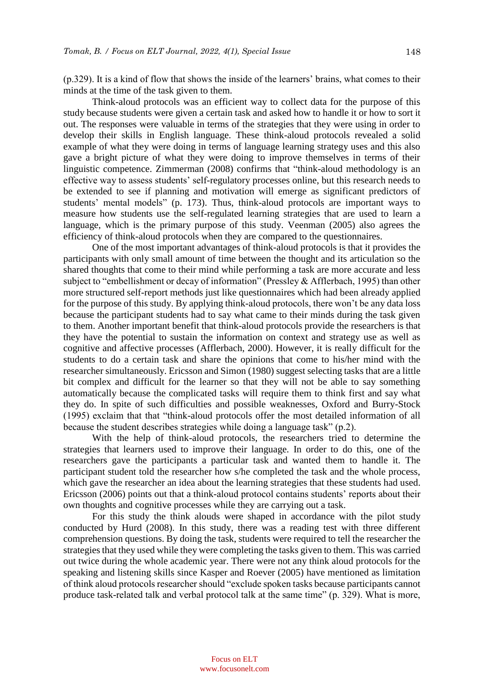(p.329). It is a kind of flow that shows the inside of the learners' brains, what comes to their minds at the time of the task given to them.

Think-aloud protocols was an efficient way to collect data for the purpose of this study because students were given a certain task and asked how to handle it or how to sort it out. The responses were valuable in terms of the strategies that they were using in order to develop their skills in English language. These think-aloud protocols revealed a solid example of what they were doing in terms of language learning strategy uses and this also gave a bright picture of what they were doing to improve themselves in terms of their linguistic competence. Zimmerman (2008) confirms that "think-aloud methodology is an effective way to assess students' self-regulatory processes online, but this research needs to be extended to see if planning and motivation will emerge as significant predictors of students' mental models" (p. 173). Thus, think-aloud protocols are important ways to measure how students use the self-regulated learning strategies that are used to learn a language, which is the primary purpose of this study. Veenman (2005) also agrees the efficiency of think-aloud protocols when they are compared to the questionnaires.

One of the most important advantages of think-aloud protocols is that it provides the participants with only small amount of time between the thought and its articulation so the shared thoughts that come to their mind while performing a task are more accurate and less subject to "embellishment or decay of information" (Pressley & Afflerbach, 1995) than other more structured self-report methods just like questionnaires which had been already applied for the purpose of this study. By applying think-aloud protocols, there won't be any data loss because the participant students had to say what came to their minds during the task given to them. Another important benefit that think-aloud protocols provide the researchers is that they have the potential to sustain the information on context and strategy use as well as cognitive and affective processes (Afflerbach, 2000). However, it is really difficult for the students to do a certain task and share the opinions that come to his/her mind with the researcher simultaneously. Ericsson and Simon (1980) suggest selecting tasks that are a little bit complex and difficult for the learner so that they will not be able to say something automatically because the complicated tasks will require them to think first and say what they do. In spite of such difficulties and possible weaknesses, Oxford and Burry-Stock (1995) exclaim that that "think-aloud protocols offer the most detailed information of all because the student describes strategies while doing a language task" (p.2).

With the help of think-aloud protocols, the researchers tried to determine the strategies that learners used to improve their language. In order to do this, one of the researchers gave the participants a particular task and wanted them to handle it. The participant student told the researcher how s/he completed the task and the whole process, which gave the researcher an idea about the learning strategies that these students had used. Ericsson (2006) points out that a think-aloud protocol contains students' reports about their own thoughts and cognitive processes while they are carrying out a task.

For this study the think alouds were shaped in accordance with the pilot study conducted by Hurd (2008). In this study, there was a reading test with three different comprehension questions. By doing the task, students were required to tell the researcher the strategies that they used while they were completing the tasks given to them. This was carried out twice during the whole academic year. There were not any think aloud protocols for the speaking and listening skills since Kasper and Roever (2005) have mentioned as limitation of think aloud protocols researcher should "exclude spoken tasks because participants cannot produce task-related talk and verbal protocol talk at the same time" (p. 329). What is more,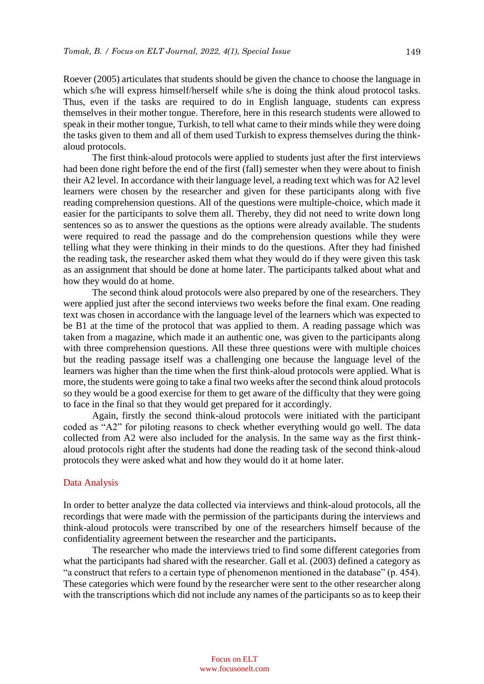Roever (2005) articulates that students should be given the chance to choose the language in which s/he will express himself/herself while s/he is doing the think aloud protocol tasks. Thus, even if the tasks are required to do in English language, students can express themselves in their mother tongue. Therefore, here in this research students were allowed to speak in their mother tongue, Turkish, to tell what came to their minds while they were doing the tasks given to them and all of them used Turkish to express themselves during the thinkaloud protocols.

The first think-aloud protocols were applied to students just after the first interviews had been done right before the end of the first (fall) semester when they were about to finish their A2 level. In accordance with their language level, a reading text which was for A2 level learners were chosen by the researcher and given for these participants along with five reading comprehension questions. All of the questions were multiple-choice, which made it easier for the participants to solve them all. Thereby, they did not need to write down long sentences so as to answer the questions as the options were already available. The students were required to read the passage and do the comprehension questions while they were telling what they were thinking in their minds to do the questions. After they had finished the reading task, the researcher asked them what they would do if they were given this task as an assignment that should be done at home later. The participants talked about what and how they would do at home.

The second think aloud protocols were also prepared by one of the researchers. They were applied just after the second interviews two weeks before the final exam. One reading text was chosen in accordance with the language level of the learners which was expected to be B1 at the time of the protocol that was applied to them. A reading passage which was taken from a magazine, which made it an authentic one, was given to the participants along with three comprehension questions. All these three questions were with multiple choices but the reading passage itself was a challenging one because the language level of the learners was higher than the time when the first think-aloud protocols were applied. What is more, the students were going to take a final two weeks after the second think aloud protocols so they would be a good exercise for them to get aware of the difficulty that they were going to face in the final so that they would get prepared for it accordingly.

Again, firstly the second think-aloud protocols were initiated with the participant coded as "A2" for piloting reasons to check whether everything would go well. The data collected from A2 were also included for the analysis. In the same way as the first thinkaloud protocols right after the students had done the reading task of the second think-aloud protocols they were asked what and how they would do it at home later.

## Data Analysis

In order to better analyze the data collected via interviews and think-aloud protocols, all the recordings that were made with the permission of the participants during the interviews and think-aloud protocols were transcribed by one of the researchers himself because of the confidentiality agreement between the researcher and the participants**.** 

The researcher who made the interviews tried to find some different categories from what the participants had shared with the researcher. Gall et al. (2003) defined a category as "a construct that refers to a certain type of phenomenon mentioned in the database" (p. 454). These categories which were found by the researcher were sent to the other researcher along with the transcriptions which did not include any names of the participants so as to keep their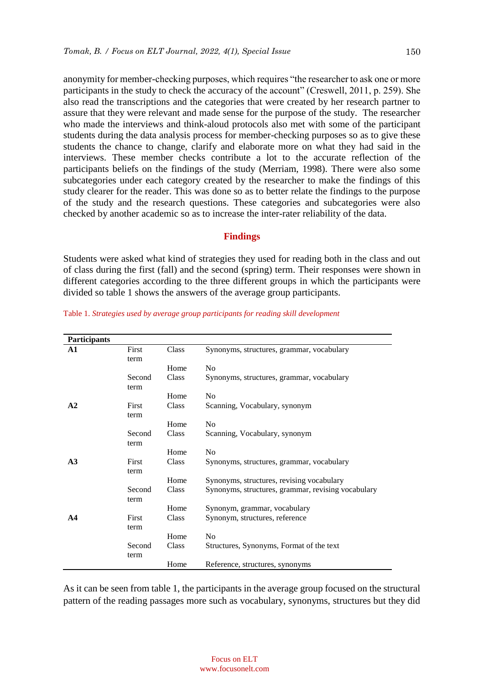150

anonymity for member-checking purposes, which requires "the researcher to ask one or more participants in the study to check the accuracy of the account" (Creswell, 2011, p. 259). She also read the transcriptions and the categories that were created by her research partner to assure that they were relevant and made sense for the purpose of the study. The researcher who made the interviews and think-aloud protocols also met with some of the participant students during the data analysis process for member-checking purposes so as to give these students the chance to change, clarify and elaborate more on what they had said in the interviews. These member checks contribute a lot to the accurate reflection of the participants beliefs on the findings of the study (Merriam, 1998). There were also some subcategories under each category created by the researcher to make the findings of this study clearer for the reader. This was done so as to better relate the findings to the purpose of the study and the research questions. These categories and subcategories were also checked by another academic so as to increase the inter-rater reliability of the data.

# **Findings**

Students were asked what kind of strategies they used for reading both in the class and out of class during the first (fall) and the second (spring) term. Their responses were shown in different categories according to the three different groups in which the participants were divided so table 1 shows the answers of the average group participants.

| <b>Participants</b> |        |       |                                                    |
|---------------------|--------|-------|----------------------------------------------------|
| $\mathbf{A1}$       | First  | Class | Synonyms, structures, grammar, vocabulary          |
|                     | term   |       |                                                    |
|                     |        | Home  | N <sub>o</sub>                                     |
|                     | Second | Class | Synonyms, structures, grammar, vocabulary          |
|                     | term   |       |                                                    |
|                     |        | Home  | N <sub>0</sub>                                     |
| A <sub>2</sub>      | First  | Class | Scanning, Vocabulary, synonym                      |
|                     | term   |       |                                                    |
|                     |        | Home  | N <sub>o</sub>                                     |
|                     | Second | Class | Scanning, Vocabulary, synonym                      |
|                     | term   |       |                                                    |
|                     |        | Home  | N <sub>0</sub>                                     |
| A <sub>3</sub>      | First  | Class | Synonyms, structures, grammar, vocabulary          |
|                     | term   |       |                                                    |
|                     |        | Home  | Synonyms, structures, revising vocabulary          |
|                     | Second | Class | Synonyms, structures, grammar, revising vocabulary |
|                     | term   |       |                                                    |
|                     |        | Home  | Synonym, grammar, vocabulary                       |
| A <sub>4</sub>      | First  | Class | Synonym, structures, reference                     |
|                     | term   |       |                                                    |
|                     |        | Home  | N <sub>o</sub>                                     |
|                     | Second | Class | Structures, Synonyms, Format of the text           |
|                     | term   |       |                                                    |
|                     |        | Home  | Reference, structures, synonyms                    |

Table 1. *Strategies used by average group participants for reading skill development*

As it can be seen from table 1, the participants in the average group focused on the structural pattern of the reading passages more such as vocabulary, synonyms, structures but they did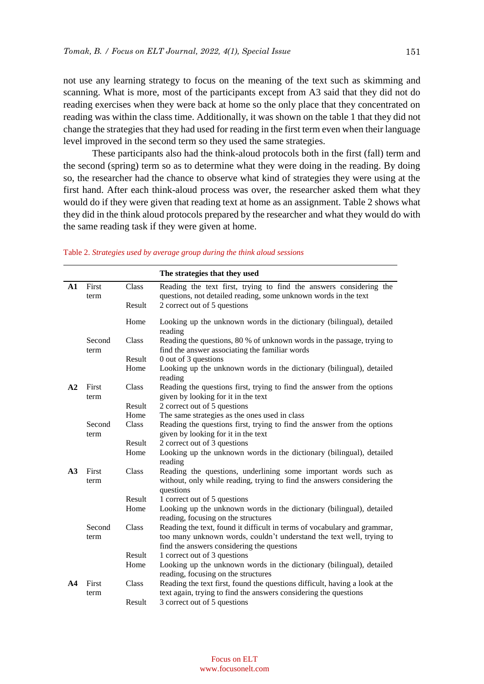not use any learning strategy to focus on the meaning of the text such as skimming and scanning. What is more, most of the participants except from A3 said that they did not do reading exercises when they were back at home so the only place that they concentrated on reading was within the class time. Additionally, it was shown on the table 1 that they did not change the strategies that they had used for reading in the first term even when their language level improved in the second term so they used the same strategies.

These participants also had the think-aloud protocols both in the first (fall) term and the second (spring) term so as to determine what they were doing in the reading. By doing so, the researcher had the chance to observe what kind of strategies they were using at the first hand. After each think-aloud process was over, the researcher asked them what they would do if they were given that reading text at home as an assignment. Table 2 shows what they did in the think aloud protocols prepared by the researcher and what they would do with the same reading task if they were given at home.

|                |                        |                | The strategies that they used                                                                                                         |
|----------------|------------------------|----------------|---------------------------------------------------------------------------------------------------------------------------------------|
| $\mathbf{A1}$  | First<br>Class<br>term |                | Reading the text first, trying to find the answers considering the<br>questions, not detailed reading, some unknown words in the text |
|                |                        | Result         | 2 correct out of 5 questions                                                                                                          |
|                |                        | Home           | Looking up the unknown words in the dictionary (bilingual), detailed<br>reading                                                       |
|                | Second<br>term         | Class          | Reading the questions, 80 % of unknown words in the passage, trying to<br>find the answer associating the familiar words              |
|                |                        | Result         | 0 out of 3 questions                                                                                                                  |
|                |                        | Home           | Looking up the unknown words in the dictionary (bilingual), detailed<br>reading                                                       |
| A2             | First<br>term          | Class          | Reading the questions first, trying to find the answer from the options<br>given by looking for it in the text                        |
|                |                        | Result         | 2 correct out of 5 questions                                                                                                          |
|                |                        | Home           | The same strategies as the ones used in class                                                                                         |
|                | Second                 | Class          | Reading the questions first, trying to find the answer from the options                                                               |
|                | term                   |                | given by looking for it in the text                                                                                                   |
|                |                        | Result         | 2 correct out of 3 questions                                                                                                          |
|                |                        | Home           | Looking up the unknown words in the dictionary (bilingual), detailed<br>reading                                                       |
| A3             | First                  | Class          | Reading the questions, underlining some important words such as                                                                       |
|                | term                   |                | without, only while reading, trying to find the answers considering the                                                               |
|                |                        |                | questions                                                                                                                             |
|                |                        | Result<br>Home | 1 correct out of 5 questions                                                                                                          |
|                |                        |                | Looking up the unknown words in the dictionary (bilingual), detailed<br>reading, focusing on the structures                           |
|                | Second                 | Class          | Reading the text, found it difficult in terms of vocabulary and grammar,                                                              |
|                | term                   |                | too many unknown words, couldn't understand the text well, trying to                                                                  |
|                |                        |                | find the answers considering the questions                                                                                            |
|                |                        | Result         | 1 correct out of 3 questions                                                                                                          |
|                |                        | Home           | Looking up the unknown words in the dictionary (bilingual), detailed                                                                  |
|                |                        |                | reading, focusing on the structures                                                                                                   |
| A <sub>4</sub> | First                  | Class          | Reading the text first, found the questions difficult, having a look at the                                                           |
|                | term                   |                | text again, trying to find the answers considering the questions                                                                      |
|                |                        | Result         | 3 correct out of 5 questions                                                                                                          |

#### Table 2. *Strategies used by average group during the think aloud sessions*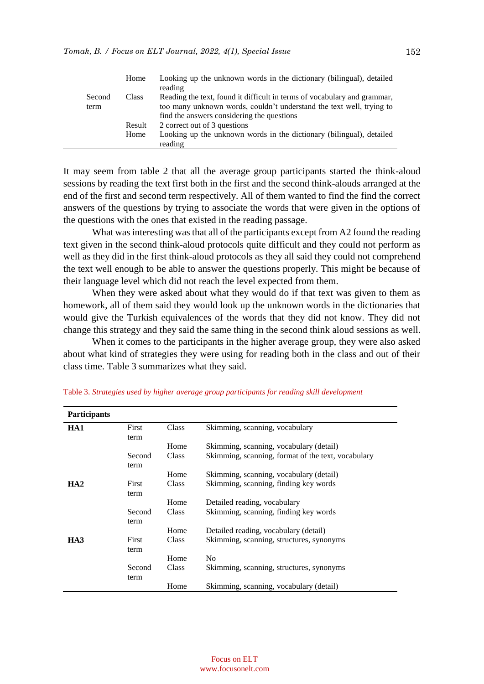|        | Home   | Looking up the unknown words in the dictionary (bilingual), detailed<br>reading |
|--------|--------|---------------------------------------------------------------------------------|
| Second | Class  | Reading the text, found it difficult in terms of vocabulary and grammar,        |
| term   |        | too many unknown words, couldn't understand the text well, trying to            |
|        |        | find the answers considering the questions                                      |
|        | Result | 2 correct out of 3 questions                                                    |
|        | Home   | Looking up the unknown words in the dictionary (bilingual), detailed            |
|        |        | reading                                                                         |

It may seem from table 2 that all the average group participants started the think-aloud sessions by reading the text first both in the first and the second think-alouds arranged at the end of the first and second term respectively. All of them wanted to find the find the correct answers of the questions by trying to associate the words that were given in the options of the questions with the ones that existed in the reading passage.

What was interesting was that all of the participants except from A2 found the reading text given in the second think-aloud protocols quite difficult and they could not perform as well as they did in the first think-aloud protocols as they all said they could not comprehend the text well enough to be able to answer the questions properly. This might be because of their language level which did not reach the level expected from them.

When they were asked about what they would do if that text was given to them as homework, all of them said they would look up the unknown words in the dictionaries that would give the Turkish equivalences of the words that they did not know. They did not change this strategy and they said the same thing in the second think aloud sessions as well.

When it comes to the participants in the higher average group, they were also asked about what kind of strategies they were using for reading both in the class and out of their class time. Table 3 summarizes what they said.

| <b>Participants</b> |        |       |                                                    |
|---------------------|--------|-------|----------------------------------------------------|
| HA1                 | First  | Class | Skimming, scanning, vocabulary                     |
|                     | term   |       |                                                    |
|                     |        | Home  | Skimming, scanning, vocabulary (detail)            |
|                     | Second | Class | Skimming, scanning, format of the text, vocabulary |
|                     | term   |       |                                                    |
|                     |        | Home  | Skimming, scanning, vocabulary (detail)            |
| HA2                 | First  | Class | Skimming, scanning, finding key words              |
|                     | term   |       |                                                    |
|                     |        | Home  | Detailed reading, vocabulary                       |
|                     | Second | Class | Skimming, scanning, finding key words              |
|                     | term   |       |                                                    |
|                     |        | Home  | Detailed reading, vocabulary (detail)              |
| HA3                 | First  | Class | Skimming, scanning, structures, synonyms           |
|                     | term   |       |                                                    |
|                     |        | Home  | N <sub>0</sub>                                     |
|                     | Second | Class | Skimming, scanning, structures, synonyms           |
|                     | term   |       |                                                    |
|                     |        | Home  | Skimming, scanning, vocabulary (detail)            |

Table 3. *Strategies used by higher average group participants for reading skill development*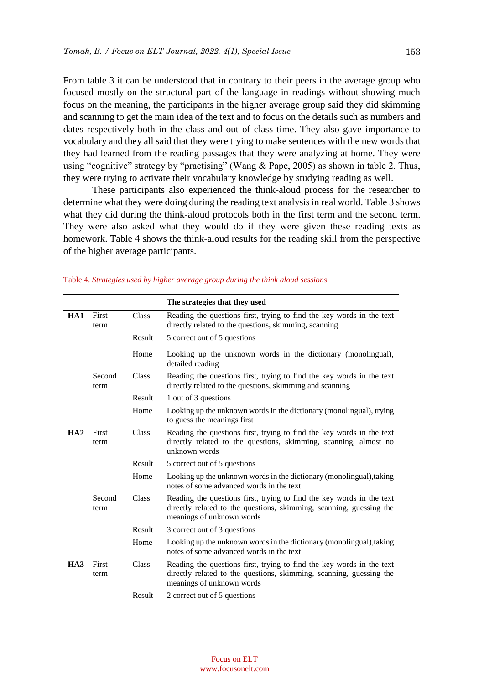From table 3 it can be understood that in contrary to their peers in the average group who focused mostly on the structural part of the language in readings without showing much focus on the meaning, the participants in the higher average group said they did skimming and scanning to get the main idea of the text and to focus on the details such as numbers and dates respectively both in the class and out of class time. They also gave importance to vocabulary and they all said that they were trying to make sentences with the new words that they had learned from the reading passages that they were analyzing at home. They were using "cognitive" strategy by "practising" (Wang & Pape, 2005) as shown in table 2. Thus, they were trying to activate their vocabulary knowledge by studying reading as well.

These participants also experienced the think-aloud process for the researcher to determine what they were doing during the reading text analysis in real world. Table 3 shows what they did during the think-aloud protocols both in the first term and the second term. They were also asked what they would do if they were given these reading texts as homework. Table 4 shows the think-aloud results for the reading skill from the perspective of the higher average participants.

|     |                |        | The strategies that they used                                                                                                                                             |
|-----|----------------|--------|---------------------------------------------------------------------------------------------------------------------------------------------------------------------------|
| HA1 | First<br>term  | Class  | Reading the questions first, trying to find the key words in the text<br>directly related to the questions, skimming, scanning                                            |
|     |                | Result | 5 correct out of 5 questions                                                                                                                                              |
|     |                | Home   | Looking up the unknown words in the dictionary (monolingual),<br>detailed reading                                                                                         |
|     | Second<br>term | Class  | Reading the questions first, trying to find the key words in the text<br>directly related to the questions, skimming and scanning                                         |
|     |                | Result | 1 out of 3 questions                                                                                                                                                      |
|     |                | Home   | Looking up the unknown words in the dictionary (monolingual), trying<br>to guess the meanings first                                                                       |
| HA2 | First<br>term  | Class  | Reading the questions first, trying to find the key words in the text<br>directly related to the questions, skimming, scanning, almost no<br>unknown words                |
|     |                | Result | 5 correct out of 5 questions                                                                                                                                              |
|     |                | Home   | Looking up the unknown words in the dictionary (monolingual), taking<br>notes of some advanced words in the text                                                          |
|     | Second<br>term | Class  | Reading the questions first, trying to find the key words in the text<br>directly related to the questions, skimming, scanning, guessing the<br>meanings of unknown words |
|     |                | Result | 3 correct out of 3 questions                                                                                                                                              |
|     |                | Home   | Looking up the unknown words in the dictionary (monolingual), taking<br>notes of some advanced words in the text                                                          |
| HA3 | First<br>term  | Class  | Reading the questions first, trying to find the key words in the text<br>directly related to the questions, skimming, scanning, guessing the<br>meanings of unknown words |
|     |                | Result | 2 correct out of 5 questions                                                                                                                                              |

#### Table 4. *Strategies used by higher average group during the think aloud sessions*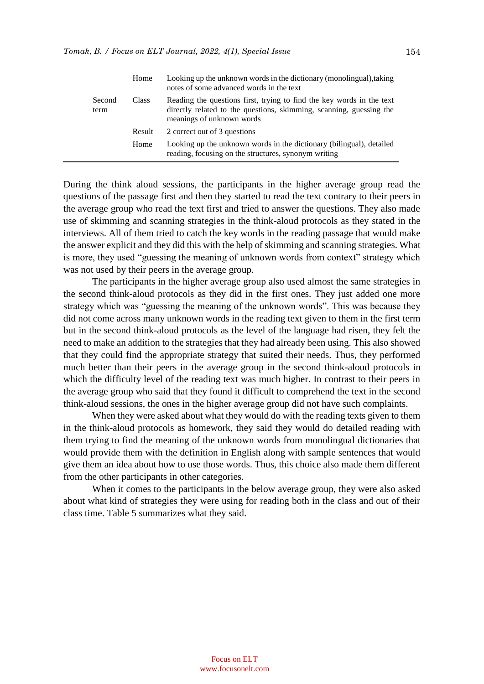|                | Home         | Looking up the unknown words in the dictionary (monolingual), taking<br>notes of some advanced words in the text                                                          |
|----------------|--------------|---------------------------------------------------------------------------------------------------------------------------------------------------------------------------|
| Second<br>term | <b>Class</b> | Reading the questions first, trying to find the key words in the text<br>directly related to the questions, skimming, scanning, guessing the<br>meanings of unknown words |
|                | Result       | 2 correct out of 3 questions                                                                                                                                              |
|                | Home         | Looking up the unknown words in the dictionary (bilingual), detailed<br>reading, focusing on the structures, synonym writing                                              |

During the think aloud sessions, the participants in the higher average group read the questions of the passage first and then they started to read the text contrary to their peers in the average group who read the text first and tried to answer the questions. They also made use of skimming and scanning strategies in the think-aloud protocols as they stated in the interviews. All of them tried to catch the key words in the reading passage that would make the answer explicit and they did this with the help of skimming and scanning strategies. What is more, they used "guessing the meaning of unknown words from context" strategy which was not used by their peers in the average group.

The participants in the higher average group also used almost the same strategies in the second think-aloud protocols as they did in the first ones. They just added one more strategy which was "guessing the meaning of the unknown words". This was because they did not come across many unknown words in the reading text given to them in the first term but in the second think-aloud protocols as the level of the language had risen, they felt the need to make an addition to the strategies that they had already been using. This also showed that they could find the appropriate strategy that suited their needs. Thus, they performed much better than their peers in the average group in the second think-aloud protocols in which the difficulty level of the reading text was much higher. In contrast to their peers in the average group who said that they found it difficult to comprehend the text in the second think-aloud sessions, the ones in the higher average group did not have such complaints.

When they were asked about what they would do with the reading texts given to them in the think-aloud protocols as homework, they said they would do detailed reading with them trying to find the meaning of the unknown words from monolingual dictionaries that would provide them with the definition in English along with sample sentences that would give them an idea about how to use those words. Thus, this choice also made them different from the other participants in other categories.

When it comes to the participants in the below average group, they were also asked about what kind of strategies they were using for reading both in the class and out of their class time. Table 5 summarizes what they said.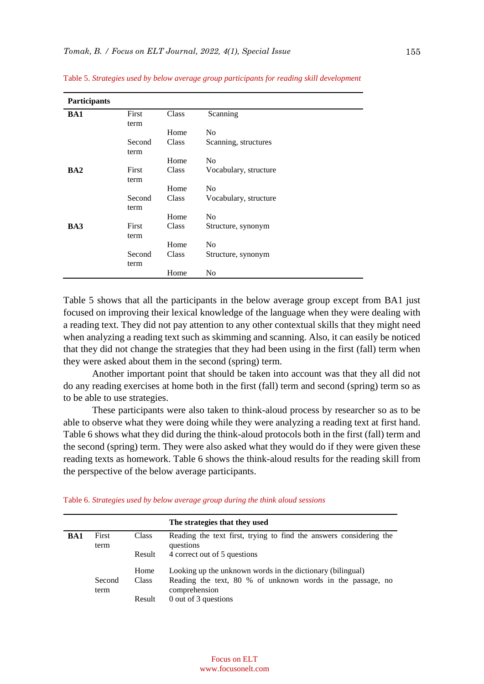| Participants |        |       |                       |
|--------------|--------|-------|-----------------------|
| BA1          | First  | Class | Scanning              |
|              | term   |       |                       |
|              |        | Home  | N <sub>0</sub>        |
|              | Second | Class | Scanning, structures  |
|              | term   |       |                       |
|              |        | Home  | N <sub>0</sub>        |
| BA2          | First  | Class | Vocabulary, structure |
|              | term   |       |                       |
|              |        | Home  | No                    |
|              | Second | Class | Vocabulary, structure |
|              | term   |       |                       |
|              |        | Home  | N <sub>0</sub>        |
| BA3          | First  | Class | Structure, synonym    |
|              | term   |       |                       |
|              |        | Home  | No                    |
|              | Second | Class | Structure, synonym    |
|              | term   |       |                       |
|              |        | Home  | No                    |

Table 5. *Strategies used by below average group participants for reading skill development*

Table 5 shows that all the participants in the below average group except from BA1 just focused on improving their lexical knowledge of the language when they were dealing with a reading text. They did not pay attention to any other contextual skills that they might need when analyzing a reading text such as skimming and scanning. Also, it can easily be noticed that they did not change the strategies that they had been using in the first (fall) term when they were asked about them in the second (spring) term.

Another important point that should be taken into account was that they all did not do any reading exercises at home both in the first (fall) term and second (spring) term so as to be able to use strategies.

These participants were also taken to think-aloud process by researcher so as to be able to observe what they were doing while they were analyzing a reading text at first hand. Table 6 shows what they did during the think-aloud protocols both in the first (fall) term and the second (spring) term. They were also asked what they would do if they were given these reading texts as homework. Table 6 shows the think-aloud results for the reading skill from the perspective of the below average participants.

|  |  | Table 6. Strategies used by below average group during the think aloud sessions |  |
|--|--|---------------------------------------------------------------------------------|--|
|  |  |                                                                                 |  |

|            |                |              | The strategies that they used                                                   |
|------------|----------------|--------------|---------------------------------------------------------------------------------|
| <b>BA1</b> | First<br>term  | Class        | Reading the text first, trying to find the answers considering the<br>questions |
|            |                | Result       | 4 correct out of 5 questions                                                    |
|            |                | Home         | Looking up the unknown words in the dictionary (bilingual)                      |
|            | Second<br>term | <b>Class</b> | Reading the text, 80 % of unknown words in the passage, no<br>comprehension     |
|            |                | Result       | 0 out of 3 questions                                                            |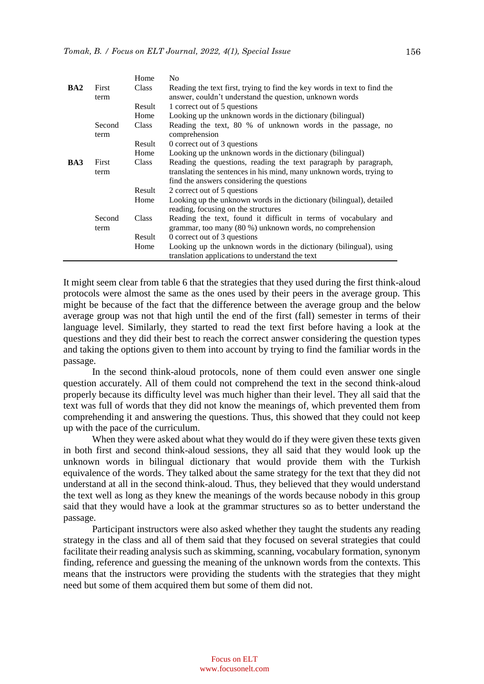|                 |                | Home         | N <sub>0</sub>                                                                                                                          |
|-----------------|----------------|--------------|-----------------------------------------------------------------------------------------------------------------------------------------|
| BA <sub>2</sub> | First<br>term  | <b>Class</b> | Reading the text first, trying to find the key words in text to find the<br>answer, couldn't understand the question, unknown words     |
|                 |                | Result       | 1 correct out of 5 questions                                                                                                            |
|                 |                | Home         | Looking up the unknown words in the dictionary (bilingual)                                                                              |
|                 | Second<br>term | <b>Class</b> | Reading the text, 80 % of unknown words in the passage, no<br>comprehension                                                             |
|                 |                | Result       | 0 correct out of 3 questions                                                                                                            |
|                 |                | Home         | Looking up the unknown words in the dictionary (bilingual)                                                                              |
| BA3             | First<br>term  | <b>Class</b> | Reading the questions, reading the text paragraph by paragraph,<br>translating the sentences in his mind, many unknown words, trying to |
|                 |                |              | find the answers considering the questions                                                                                              |
|                 |                | Result       | 2 correct out of 5 questions                                                                                                            |
|                 |                | Home         | Looking up the unknown words in the dictionary (bilingual), detailed<br>reading, focusing on the structures                             |
|                 | Second<br>term | Class        | Reading the text, found it difficult in terms of vocabulary and<br>grammar, too many (80 %) unknown words, no comprehension             |
|                 |                | Result       | 0 correct out of 3 questions                                                                                                            |
|                 |                | Home         | Looking up the unknown words in the dictionary (bilingual), using                                                                       |
|                 |                |              | translation applications to understand the text                                                                                         |

It might seem clear from table 6 that the strategies that they used during the first think-aloud protocols were almost the same as the ones used by their peers in the average group. This might be because of the fact that the difference between the average group and the below average group was not that high until the end of the first (fall) semester in terms of their language level. Similarly, they started to read the text first before having a look at the questions and they did their best to reach the correct answer considering the question types and taking the options given to them into account by trying to find the familiar words in the passage.

In the second think-aloud protocols, none of them could even answer one single question accurately. All of them could not comprehend the text in the second think-aloud properly because its difficulty level was much higher than their level. They all said that the text was full of words that they did not know the meanings of, which prevented them from comprehending it and answering the questions. Thus, this showed that they could not keep up with the pace of the curriculum.

When they were asked about what they would do if they were given these texts given in both first and second think-aloud sessions, they all said that they would look up the unknown words in bilingual dictionary that would provide them with the Turkish equivalence of the words. They talked about the same strategy for the text that they did not understand at all in the second think-aloud. Thus, they believed that they would understand the text well as long as they knew the meanings of the words because nobody in this group said that they would have a look at the grammar structures so as to better understand the passage.

Participant instructors were also asked whether they taught the students any reading strategy in the class and all of them said that they focused on several strategies that could facilitate their reading analysis such as skimming, scanning, vocabulary formation, synonym finding, reference and guessing the meaning of the unknown words from the contexts. This means that the instructors were providing the students with the strategies that they might need but some of them acquired them but some of them did not.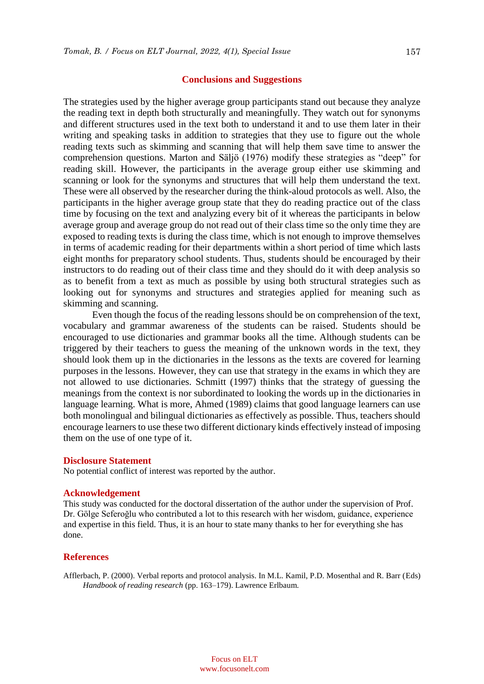#### **Conclusions and Suggestions**

The strategies used by the higher average group participants stand out because they analyze the reading text in depth both structurally and meaningfully. They watch out for synonyms and different structures used in the text both to understand it and to use them later in their writing and speaking tasks in addition to strategies that they use to figure out the whole reading texts such as skimming and scanning that will help them save time to answer the comprehension questions. Marton and Säljö (1976) modify these strategies as "deep" for reading skill. However, the participants in the average group either use skimming and scanning or look for the synonyms and structures that will help them understand the text. These were all observed by the researcher during the think-aloud protocols as well. Also, the participants in the higher average group state that they do reading practice out of the class time by focusing on the text and analyzing every bit of it whereas the participants in below average group and average group do not read out of their class time so the only time they are exposed to reading texts is during the class time, which is not enough to improve themselves in terms of academic reading for their departments within a short period of time which lasts eight months for preparatory school students. Thus, students should be encouraged by their instructors to do reading out of their class time and they should do it with deep analysis so as to benefit from a text as much as possible by using both structural strategies such as looking out for synonyms and structures and strategies applied for meaning such as skimming and scanning.

Even though the focus of the reading lessons should be on comprehension of the text, vocabulary and grammar awareness of the students can be raised. Students should be encouraged to use dictionaries and grammar books all the time. Although students can be triggered by their teachers to guess the meaning of the unknown words in the text, they should look them up in the dictionaries in the lessons as the texts are covered for learning purposes in the lessons. However, they can use that strategy in the exams in which they are not allowed to use dictionaries. Schmitt (1997) thinks that the strategy of guessing the meanings from the context is nor subordinated to looking the words up in the dictionaries in language learning. What is more, Ahmed (1989) claims that good language learners can use both monolingual and bilingual dictionaries as effectively as possible. Thus, teachers should encourage learners to use these two different dictionary kinds effectively instead of imposing them on the use of one type of it.

#### **Disclosure Statement**

No potential conflict of interest was reported by the author.

## **Acknowledgement**

This study was conducted for the doctoral dissertation of the author under the supervision of Prof. Dr. Gölge Seferoğlu who contributed a lot to this research with her wisdom, guidance, experience and expertise in this field. Thus, it is an hour to state many thanks to her for everything she has done.

#### **References**

Afflerbach, P. (2000). Verbal reports and protocol analysis. In M.L. Kamil, P.D. Mosenthal and R. Barr (Eds) *Handbook of reading research* (pp. 163–179). Lawrence Erlbaum.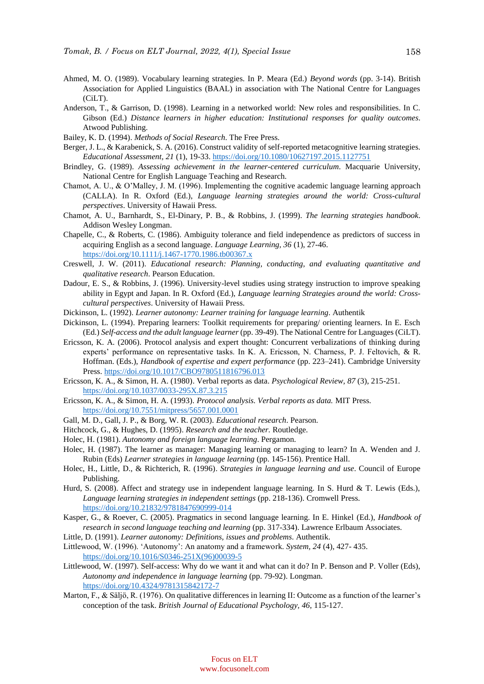- Ahmed, M. O. (1989). Vocabulary learning strategies. In P. Meara (Ed.) *Beyond words* (pp. 3-14). British Association for Applied Linguistics (BAAL) in association with The National Centre for Languages (CiLT).
- Anderson, T., & Garrison, D. (1998). Learning in a networked world: New roles and responsibilities. In C. Gibson (Ed.) *Distance learners in higher education: Institutional responses for quality outcomes*. Atwood Publishing.
- Bailey, K. D. (1994). *Methods of Social Research.* The Free Press.
- Berger, J. L., & Karabenick, S. A. (2016). Construct validity of self-reported metacognitive learning strategies. *Educational Assessment, 21* (1), 19-33[. https://doi.org/10.1080/10627197.2015.1127751](https://doi.org/10.1080/10627197.2015.1127751)
- Brindley, G. (1989). *Assessing achievement in the learner-centered curriculum*. Macquarie University, National Centre for English Language Teaching and Research.
- Chamot, A. U., & O'Malley, J. M. (1996). Implementing the cognitive academic language learning approach (CALLA). In R. Oxford (Ed.), *Language learning strategies around the world: Cross-cultural perspectives*. University of Hawaii Press.
- Chamot, A. U., Barnhardt, S., El-Dinary, P. B., & Robbins, J. (1999). *The learning strategies handbook*. Addison Wesley Longman.
- Chapelle, C., & Roberts, C. (1986). Ambiguity tolerance and field independence as predictors of success in acquiring English as a second language. *Language Learning, 36* (1), 27-46. <https://doi.org/10.1111/j.1467-1770.1986.tb00367.x>
- Creswell, J. W. (2011). *Educational research: Planning, conducting, and evaluating quantitative and qualitative research*. Pearson Education.
- Dadour, E. S., & Robbins, J. (1996). University-level studies using strategy instruction to improve speaking ability in Egypt and Japan. In R. Oxford (Ed.), *Language learning Strategies around the world: Crosscultural perspectives*. University of Hawaii Press.
- Dickinson, L. (1992). *Learner autonomy: Learner training for language learning*. Authentik
- Dickinson, L. (1994). Preparing learners: Toolkit requirements for preparing/ orienting learners. In E. Esch (Ed.) *Self-access and the adult language learner* (pp. 39-49). The National Centre for Languages (CiLT).
- Ericsson, K. A. (2006). Protocol analysis and expert thought: Concurrent verbalizations of thinking during experts' performance on representative tasks. In K. A. Ericsson, N. Charness, P. J. Feltovich, & R. Hoffman. (Eds.), *Handbook of expertise and expert performance* (pp. 223–241). Cambridge University Press. <https://doi.org/10.1017/CBO9780511816796.013>
- Ericsson, K. A., & Simon, H. A. (1980). Verbal reports as data. *Psychological Review, 87* (3), 215-251. <https://doi.org/10.1037/0033-295X.87.3.215>
- Ericsson, K. A., & Simon, H. A. (1993). *Protocol analysis. Verbal reports as data.* MIT Press. <https://doi.org/10.7551/mitpress/5657.001.0001>
- Gall, M. D., Gall, J. P., & Borg, W. R. (2003). *Educational research*. Pearson.
- Hitchcock, G., & Hughes, D. (1995). *Research and the teacher.* Routledge.
- Holec, H. (1981). *Autonomy and foreign language learning*. Pergamon.
- Holec, H. (1987). The learner as manager: Managing learning or managing to learn? In A. Wenden and J. Rubin (Eds) *Learner strategies in language learning* (pp. 145-156). Prentice Hall.
- Holec, H., Little, D., & Richterich, R. (1996). *Strategies in language learning and use*. Council of Europe Publishing.
- Hurd, S. (2008). Affect and strategy use in independent language learning. In S. Hurd & T. Lewis (Eds.), *Language learning strategies in independent settings* (pp. 218-136). Cromwell Press. <https://doi.org/10.21832/9781847690999-014>
- Kasper, G., & Roever, C. (2005). Pragmatics in second language learning. In E. Hinkel (Ed.), *Handbook of research in second language teaching and learning* (pp. 317-334). Lawrence Erlbaum Associates.
- Little, D. (1991). *Learner autonomy: Definitions, issues and problems*. Authentik.
- Littlewood, W. (1996). 'Autonomy': An anatomy and a framework. *System, 24* (4), 427- 435. [https://doi.org/10.1016/S0346-251X\(96\)00039-5](https://doi.org/10.1016/S0346-251X(96)00039-5)
- Littlewood, W. (1997). Self-access: Why do we want it and what can it do? In P. Benson and P. Voller (Eds), *Autonomy and independence in language learning* (pp. 79-92). Longman. <https://doi.org/10.4324/9781315842172-7>
- Marton, F., & Säljö, R. (1976). On qualitative differences in learning II: Outcome as a function of the learner's conception of the task. *British Journal of Educational Psychology, 46*, 115-127.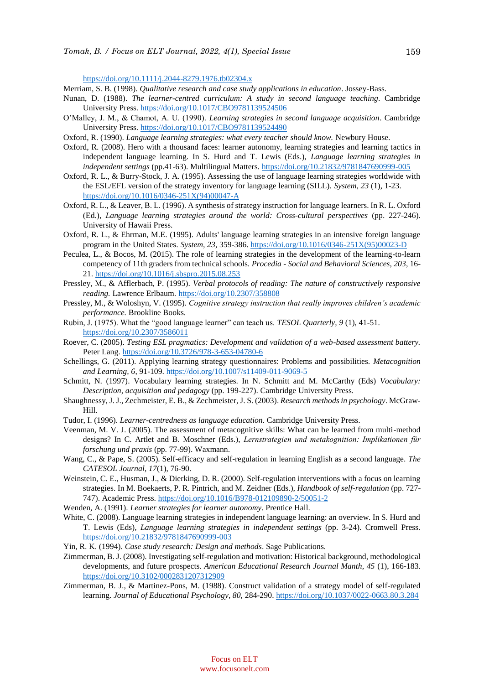<https://doi.org/10.1111/j.2044-8279.1976.tb02304.x>

- Merriam, S. B. (1998). *Qualitative research and case study applications in education*. Jossey-Bass.
- Nunan, D. (1988). *The learner-centred curriculum: A study in second language teaching*. Cambridge University Press. <https://doi.org/10.1017/CBO9781139524506>
- O'Malley, J. M., & Chamot, A. U. (1990). *Learning strategies in second language acquisition*. Cambridge University Press. <https://doi.org/10.1017/CBO9781139524490>
- Oxford, R. (1990). *Language learning strategies: what every teacher should know*. Newbury House.
- Oxford, R. (2008). Hero with a thousand faces: learner autonomy, learning strategies and learning tactics in independent language learning. In S. Hurd and T. Lewis (Eds.), *Language learning strategies in independent settings* (pp.41-63). Multilingual Matters. <https://doi.org/10.21832/9781847690999-005>
- Oxford, R. L., & Burry-Stock, J. A. (1995). Assessing the use of language learning strategies worldwide with the ESL/EFL version of the strategy inventory for language learning (SILL). *System, 23* (1), 1-23. [https://doi.org/10.1016/0346-251X\(94\)00047-A](https://doi.org/10.1016/0346-251X(94)00047-A)
- Oxford, R. L., & Leaver, B. L. (1996). A synthesis of strategy instruction for language learners. In R. L. Oxford (Ed.), *Language learning strategies around the world: Cross-cultural perspectives* (pp. 227-246). University of Hawaii Press.
- Oxford, R. L., & Ehrman, M.E. (1995). Adults' language learning strategies in an intensive foreign language program in the United States. *System, 23*, 359-386. [https://doi.org/10.1016/0346-251X\(95\)00023-D](https://doi.org/10.1016/0346-251X(95)00023-D)
- Peculea, L., & Bocos, M. (2015). The role of learning strategies in the development of the learning-to-learn competency of 11th graders from technical schools. *Procedia - Social and Behavioral Sciences, 203*, 16- 21.<https://doi.org/10.1016/j.sbspro.2015.08.253>
- Pressley, M., & Afflerbach, P. (1995). *Verbal protocols of reading: The nature of constructively responsive reading.* Lawrence Erlbaum. <https://doi.org/10.2307/358808>
- Pressley, M., & Woloshyn, V. (1995). *Cognitive strategy instruction that really improves children's academic performance.* Brookline Books.
- Rubin, J. (1975). What the "good language learner" can teach us. *TESOL Quarterly, 9* (1), 41-51. <https://doi.org/10.2307/3586011>
- Roever, C. (2005). *Testing ESL pragmatics: Development and validation of a web-based assessment battery.*  Peter Lang. <https://doi.org/10.3726/978-3-653-04780-6>
- Schellings, G. (2011). Applying learning strategy questionnaires: Problems and possibilities. *Metacognition and Learning, 6*, 91-109. <https://doi.org/10.1007/s11409-011-9069-5>
- Schmitt, N. (1997). Vocabulary learning strategies. In N. Schmitt and M. McCarthy (Eds) *Vocabulary: Description, acquisition and pedagogy* (pp. 199-227). Cambridge University Press.
- Shaughnessy, J. J., Zechmeister, E. B., & Zechmeister, J. S. (2003). *Research methods in psychology*. McGraw-Hill.
- Tudor, I. (1996). *Learner-centredness as language education.* Cambridge University Press*.*
- Veenman, M. V. J. (2005). The assessment of metacognitive skills: What can be learned from multi-method designs? In C. Artlet and B. Moschner (Eds.), *Lernstrategien und metakognition: Implikationen für forschung und praxis* (pp. 77-99). Waxmann.
- Wang, C., & Pape, S. (2005). Self-efficacy and self-regulation in learning English as a second language. *The CATESOL Journal, 17*(1), 76-90.
- Weinstein, C. E., Husman, J., & Dierking, D. R. (2000). Self-regulation interventions with a focus on learning strategies. In M. Boekaerts, P. R. Pintrich, and M. Zeidner (Eds.), *Handbook of self-regulation* (pp. 727- 747). Academic Press. <https://doi.org/10.1016/B978-012109890-2/50051-2>

Wenden, A. (1991). *Learner strategies for learner autonomy*. Prentice Hall.

- White, C. (2008). Language learning strategies in independent language learning: an overview. In S. Hurd and T. Lewis (Eds), *Language learning strategies in independent settings* (pp. 3-24). Cromwell Press. <https://doi.org/10.21832/9781847690999-003>
- Yin, R. K. (1994). *Case study research: Design and methods*. Sage Publications.
- Zimmerman, B. J. (2008). Investigating self-regulation and motivation: Historical background, methodological developments, and future prospects. *American Educational Research Journal Manth, 45* (1), 166-183. <https://doi.org/10.3102/0002831207312909>
- Zimmerman, B. J., & Martinez-Pons, M. (1988). Construct validation of a strategy model of self-regulated learning. *Journal of Educational Psychology, 80,* 284-290. <https://doi.org/10.1037/0022-0663.80.3.284>